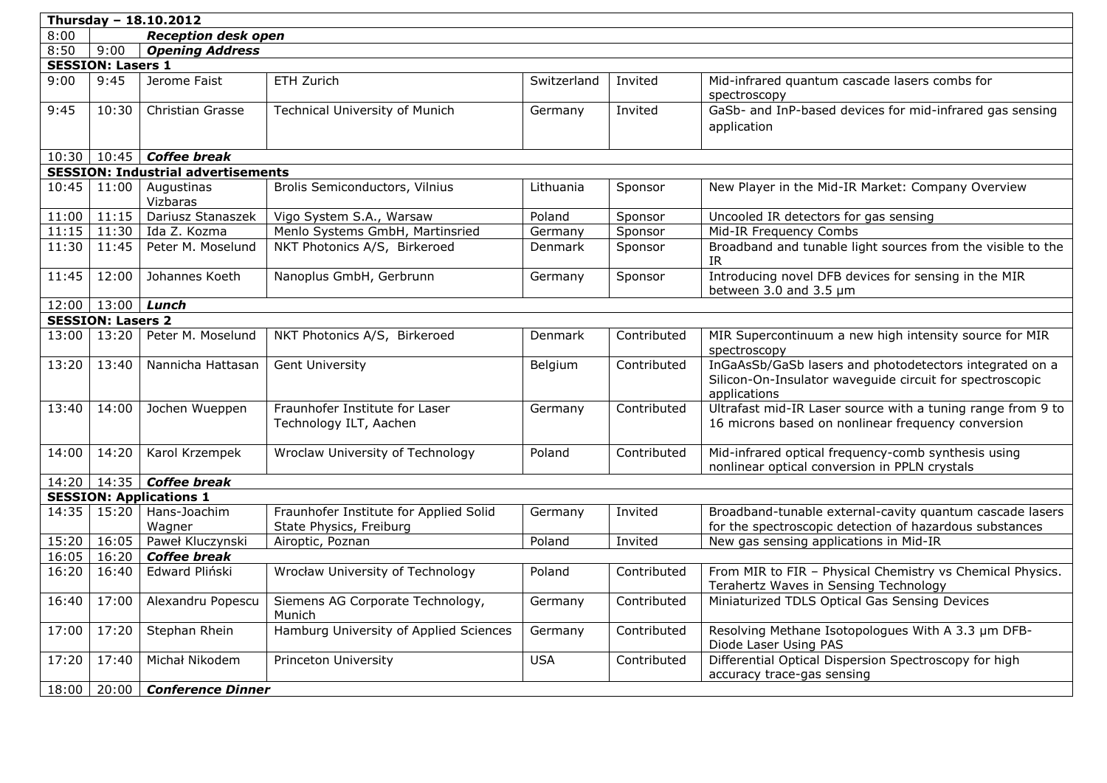| Thursday - $18.10.2012$ |                          |                                           |                                                                   |                |             |                                                                                                                                     |  |  |  |
|-------------------------|--------------------------|-------------------------------------------|-------------------------------------------------------------------|----------------|-------------|-------------------------------------------------------------------------------------------------------------------------------------|--|--|--|
| 8:00                    |                          | <b>Reception desk open</b>                |                                                                   |                |             |                                                                                                                                     |  |  |  |
| 8:50                    | 9:00                     | <b>Opening Address</b>                    |                                                                   |                |             |                                                                                                                                     |  |  |  |
|                         | <b>SESSION: Lasers 1</b> |                                           |                                                                   |                |             |                                                                                                                                     |  |  |  |
| 9:00                    | 9:45                     | Jerome Faist                              | ETH Zurich                                                        | Switzerland    | Invited     | Mid-infrared quantum cascade lasers combs for<br>spectroscopy                                                                       |  |  |  |
| 9:45                    | 10:30                    | <b>Christian Grasse</b>                   | <b>Technical University of Munich</b>                             | Germany        | Invited     | GaSb- and InP-based devices for mid-infrared gas sensing<br>application                                                             |  |  |  |
|                         |                          | $10:30   10:45  $ Coffee break            |                                                                   |                |             |                                                                                                                                     |  |  |  |
|                         |                          | <b>SESSION: Industrial advertisements</b> |                                                                   |                |             |                                                                                                                                     |  |  |  |
| 10:45                   | 11:00                    | Augustinas<br>Vizbaras                    | Brolis Semiconductors, Vilnius                                    | Lithuania      | Sponsor     | New Player in the Mid-IR Market: Company Overview                                                                                   |  |  |  |
| 11:00                   | 11:15                    | Dariusz Stanaszek                         | Vigo System S.A., Warsaw                                          | Poland         | Sponsor     | Uncooled IR detectors for gas sensing                                                                                               |  |  |  |
| 11:15                   |                          | $11:30$ Ida Z. Kozma                      | Menlo Systems GmbH, Martinsried                                   | Germany        | Sponsor     | Mid-IR Frequency Combs                                                                                                              |  |  |  |
| 11:30                   | 11:45                    | Peter M. Moselund                         | NKT Photonics A/S, Birkeroed                                      | Denmark        | Sponsor     | Broadband and tunable light sources from the visible to the<br>IR.                                                                  |  |  |  |
| 11:45                   | 12:00                    | Johannes Koeth                            | Nanoplus GmbH, Gerbrunn                                           | Germany        | Sponsor     | Introducing novel DFB devices for sensing in the MIR<br>between 3.0 and 3.5 um                                                      |  |  |  |
|                         | $12:00$   13:00   Lunch  |                                           |                                                                   |                |             |                                                                                                                                     |  |  |  |
|                         | <b>SESSION: Lasers 2</b> |                                           |                                                                   |                |             |                                                                                                                                     |  |  |  |
| 13:00                   | 13:20                    | Peter M. Moselund                         | NKT Photonics A/S, Birkeroed                                      | <b>Denmark</b> | Contributed | MIR Supercontinuum a new high intensity source for MIR<br>spectroscopy                                                              |  |  |  |
| 13:20                   | 13:40                    | Nannicha Hattasan                         | <b>Gent University</b>                                            | Belgium        | Contributed | InGaAsSb/GaSb lasers and photodetectors integrated on a<br>Silicon-On-Insulator waveguide circuit for spectroscopic<br>applications |  |  |  |
| 13:40                   | 14:00                    | Jochen Wueppen                            | Fraunhofer Institute for Laser<br>Technology ILT, Aachen          | Germany        | Contributed | Ultrafast mid-IR Laser source with a tuning range from 9 to<br>16 microns based on nonlinear frequency conversion                   |  |  |  |
| 14:00                   | 14:20                    | Karol Krzempek                            | Wroclaw University of Technology                                  | Poland         | Contributed | Mid-infrared optical frequency-comb synthesis using<br>nonlinear optical conversion in PPLN crystals                                |  |  |  |
|                         |                          | 14:20   14:35   Coffee break              |                                                                   |                |             |                                                                                                                                     |  |  |  |
|                         |                          | <b>SESSION: Applications 1</b>            |                                                                   |                |             |                                                                                                                                     |  |  |  |
| 14:35                   | 15:20                    | Hans-Joachim<br>Wagner                    | Fraunhofer Institute for Applied Solid<br>State Physics, Freiburg | Germany        | Invited     | Broadband-tunable external-cavity quantum cascade lasers<br>for the spectroscopic detection of hazardous substances                 |  |  |  |
| 15:20                   | 16:05                    | Paweł Kluczynski                          | Airoptic, Poznan                                                  | Poland         | Invited     | New gas sensing applications in Mid-IR                                                                                              |  |  |  |
| 16:05                   | 16:20                    | <b>Coffee break</b>                       |                                                                   |                |             |                                                                                                                                     |  |  |  |
| 16:20                   | 16:40                    | Edward Pliński                            | Wrocław University of Technology                                  | Poland         | Contributed | From MIR to FIR - Physical Chemistry vs Chemical Physics.<br>Terahertz Waves in Sensing Technology                                  |  |  |  |
| 16:40                   | 17:00                    | Alexandru Popescu                         | Siemens AG Corporate Technology,<br>Munich                        | Germany        | Contributed | Miniaturized TDLS Optical Gas Sensing Devices                                                                                       |  |  |  |
| 17:00                   | 17:20                    | Stephan Rhein                             | Hamburg University of Applied Sciences                            | Germany        | Contributed | Resolving Methane Isotopologues With A 3.3 µm DFB-<br>Diode Laser Using PAS                                                         |  |  |  |
| 17:20                   | 17:40                    | Michał Nikodem                            | Princeton University                                              | <b>USA</b>     | Contributed | Differential Optical Dispersion Spectroscopy for high<br>accuracy trace-gas sensing                                                 |  |  |  |
| 18:00                   | 20:00                    | <b>Conference Dinner</b>                  |                                                                   |                |             |                                                                                                                                     |  |  |  |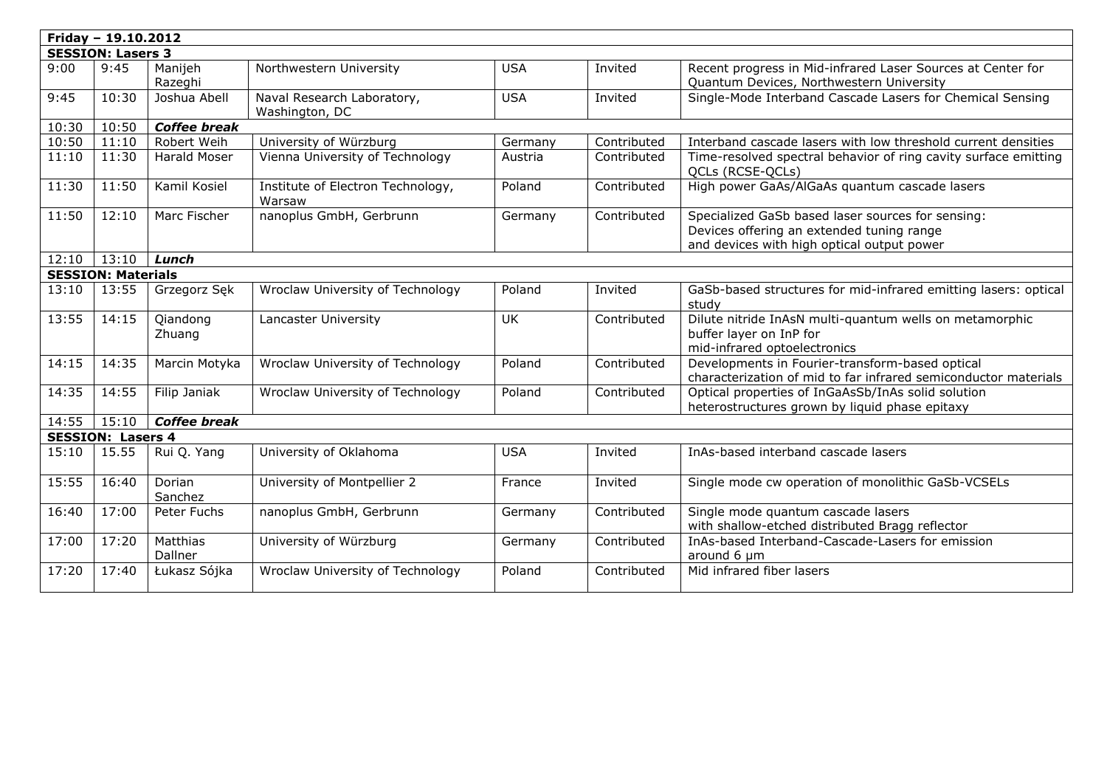|                          | Friday - 19.10.2012       |                     |                                              |            |             |                                                                                                                                              |  |  |
|--------------------------|---------------------------|---------------------|----------------------------------------------|------------|-------------|----------------------------------------------------------------------------------------------------------------------------------------------|--|--|
| <b>SESSION: Lasers 3</b> |                           |                     |                                              |            |             |                                                                                                                                              |  |  |
| 9:00                     | 9:45                      | Manijeh<br>Razeghi  | Northwestern University                      | <b>USA</b> | Invited     | Recent progress in Mid-infrared Laser Sources at Center for<br>Quantum Devices, Northwestern University                                      |  |  |
| 9:45                     | 10:30                     | Joshua Abell        | Naval Research Laboratory,<br>Washington, DC | <b>USA</b> | Invited     | Single-Mode Interband Cascade Lasers for Chemical Sensing                                                                                    |  |  |
| 10:30                    | 10:50                     | <b>Coffee break</b> |                                              |            |             |                                                                                                                                              |  |  |
| 10:50                    | 11:10                     | Robert Weih         | University of Würzburg                       | Germany    | Contributed | Interband cascade lasers with low threshold current densities                                                                                |  |  |
| 11:10                    | 11:30                     | <b>Harald Moser</b> | Vienna University of Technology              | Austria    | Contributed | Time-resolved spectral behavior of ring cavity surface emitting<br>QCLs (RCSE-QCLs)                                                          |  |  |
| 11:30                    | 11:50                     | Kamil Kosiel        | Institute of Electron Technology,<br>Warsaw  | Poland     | Contributed | High power GaAs/AlGaAs quantum cascade lasers                                                                                                |  |  |
| 11:50                    | 12:10                     | Marc Fischer        | nanoplus GmbH, Gerbrunn                      | Germany    | Contributed | Specialized GaSb based laser sources for sensing:<br>Devices offering an extended tuning range<br>and devices with high optical output power |  |  |
| 12:10                    | 13:10                     | Lunch               |                                              |            |             |                                                                                                                                              |  |  |
|                          | <b>SESSION: Materials</b> |                     |                                              |            |             |                                                                                                                                              |  |  |
| 13:10                    | 13:55                     | Grzegorz Sęk        | Wroclaw University of Technology             | Poland     | Invited     | GaSb-based structures for mid-infrared emitting lasers: optical<br>study                                                                     |  |  |
| 13:55                    | 14:15                     | Qiandong<br>Zhuang  | Lancaster University                         | <b>UK</b>  | Contributed | Dilute nitride InAsN multi-quantum wells on metamorphic<br>buffer layer on InP for<br>mid-infrared optoelectronics                           |  |  |
| 14:15                    | 14:35                     | Marcin Motyka       | Wroclaw University of Technology             | Poland     | Contributed | Developments in Fourier-transform-based optical<br>characterization of mid to far infrared semiconductor materials                           |  |  |
| 14:35                    | 14:55                     | Filip Janiak        | Wroclaw University of Technology             | Poland     | Contributed | Optical properties of InGaAsSb/InAs solid solution<br>heterostructures grown by liquid phase epitaxy                                         |  |  |
| 14:55                    | 15:10                     | <b>Coffee break</b> |                                              |            |             |                                                                                                                                              |  |  |
|                          | <b>SESSION: Lasers 4</b>  |                     |                                              |            |             |                                                                                                                                              |  |  |
| 15:10                    | 15.55                     | Rui Q. Yang         | University of Oklahoma                       | <b>USA</b> | Invited     | InAs-based interband cascade lasers                                                                                                          |  |  |
| 15:55                    | 16:40                     | Dorian<br>Sanchez   | University of Montpellier 2                  | France     | Invited     | Single mode cw operation of monolithic GaSb-VCSELs                                                                                           |  |  |
| 16:40                    | 17:00                     | Peter Fuchs         | nanoplus GmbH, Gerbrunn                      | Germany    | Contributed | Single mode quantum cascade lasers<br>with shallow-etched distributed Bragg reflector                                                        |  |  |
| 17:00                    | 17:20                     | Matthias<br>Dallner | University of Würzburg                       | Germany    | Contributed | InAs-based Interband-Cascade-Lasers for emission<br>around 6 µm                                                                              |  |  |
| 17:20                    | 17:40                     | Łukasz Sójka        | Wroclaw University of Technology             | Poland     | Contributed | Mid infrared fiber lasers                                                                                                                    |  |  |